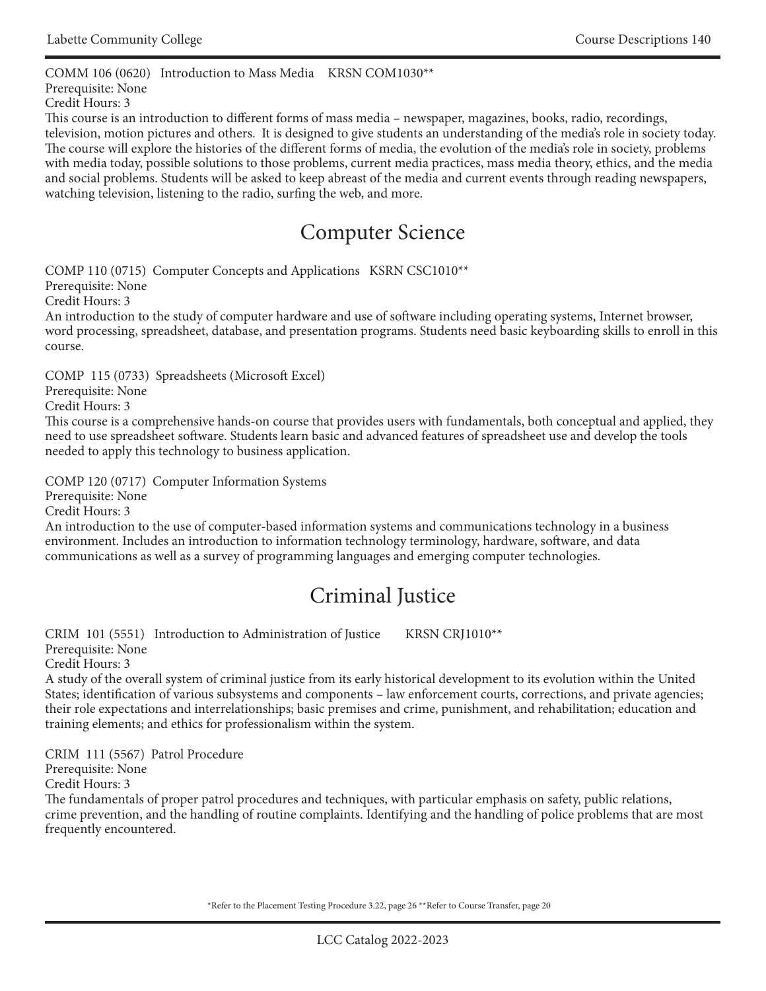COMM 106 (0620) Introduction to Mass Media KRSN COM1030\*\* Prerequisite: None Credit Hours: 3 This course is an introduction to different forms of mass media – newspaper, magazines, books, radio, recordings,

television, motion pictures and others. It is designed to give students an understanding of the media's role in society today. The course will explore the histories of the different forms of media, the evolution of the media's role in society, problems with media today, possible solutions to those problems, current media practices, mass media theory, ethics, and the media and social problems. Students will be asked to keep abreast of the media and current events through reading newspapers, watching television, listening to the radio, surfing the web, and more.

## Computer Science

COMP 110 (0715) Computer Concepts and Applications KSRN CSC1010\*\* Prerequisite: None Credit Hours: 3 An introduction to the study of computer hardware and use of software including operating systems, Internet browser, word processing, spreadsheet, database, and presentation programs. Students need basic keyboarding skills to enroll in this

course.

COMP 115 (0733) Spreadsheets (Microsoft Excel)

Prerequisite: None

Credit Hours: 3

This course is a comprehensive hands-on course that provides users with fundamentals, both conceptual and applied, they need to use spreadsheet software. Students learn basic and advanced features of spreadsheet use and develop the tools needed to apply this technology to business application.

COMP 120 (0717) Computer Information Systems

Prerequisite: None

Credit Hours: 3

An introduction to the use of computer-based information systems and communications technology in a business environment. Includes an introduction to information technology terminology, hardware, software, and data communications as well as a survey of programming languages and emerging computer technologies.

## Criminal Justice

CRIM 101 (5551) Introduction to Administration of Justice KRSN CRJ1010\*\*

Prerequisite: None Credit Hours: 3

A study of the overall system of criminal justice from its early historical development to its evolution within the United States; identification of various subsystems and components – law enforcement courts, corrections, and private agencies; their role expectations and interrelationships; basic premises and crime, punishment, and rehabilitation; education and training elements; and ethics for professionalism within the system.

CRIM 111 (5567) Patrol Procedure

Prerequisite: None

Credit Hours: 3

The fundamentals of proper patrol procedures and techniques, with particular emphasis on safety, public relations, crime prevention, and the handling of routine complaints. Identifying and the handling of police problems that are most frequently encountered.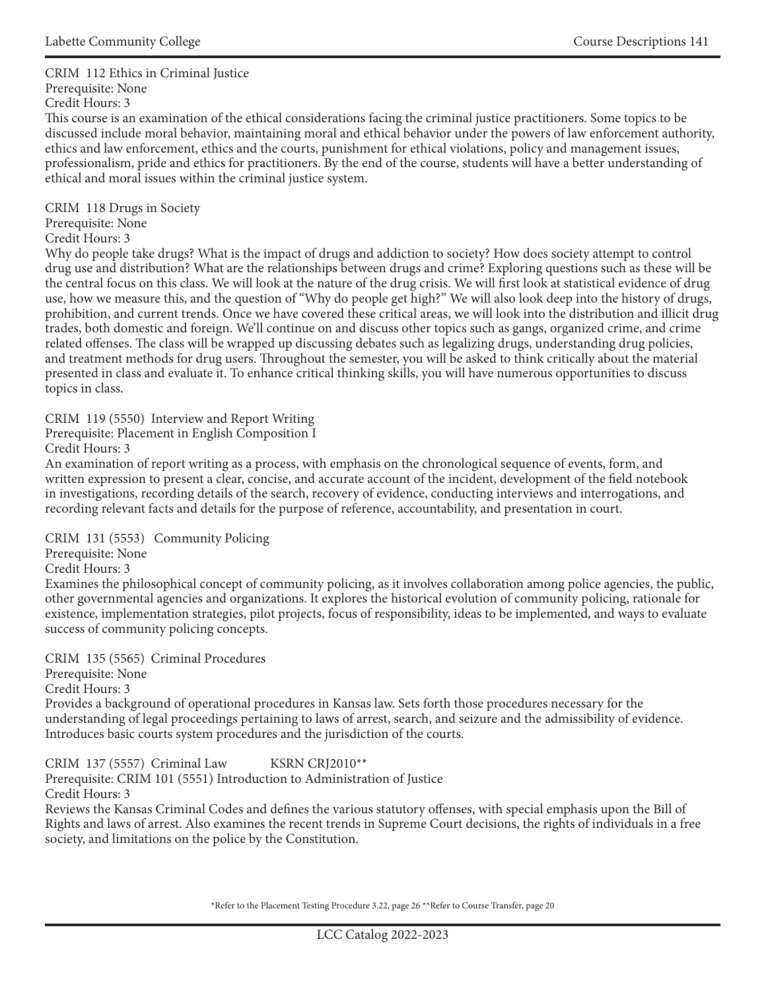CRIM 112 Ethics in Criminal Justice Prerequisite: None Credit Hours: 3

This course is an examination of the ethical considerations facing the criminal justice practitioners. Some topics to be discussed include moral behavior, maintaining moral and ethical behavior under the powers of law enforcement authority, ethics and law enforcement, ethics and the courts, punishment for ethical violations, policy and management issues, professionalism, pride and ethics for practitioners. By the end of the course, students will have a better understanding of ethical and moral issues within the criminal justice system.

CRIM 118 Drugs in Society Prerequisite: None Credit Hours: 3

Why do people take drugs? What is the impact of drugs and addiction to society? How does society attempt to control drug use and distribution? What are the relationships between drugs and crime? Exploring questions such as these will be the central focus on this class. We will look at the nature of the drug crisis. We will first look at statistical evidence of drug use, how we measure this, and the question of "Why do people get high?" We will also look deep into the history of drugs, prohibition, and current trends. Once we have covered these critical areas, we will look into the distribution and illicit drug trades, both domestic and foreign. We'll continue on and discuss other topics such as gangs, organized crime, and crime related offenses. The class will be wrapped up discussing debates such as legalizing drugs, understanding drug policies, and treatment methods for drug users. Throughout the semester, you will be asked to think critically about the material presented in class and evaluate it. To enhance critical thinking skills, you will have numerous opportunities to discuss topics in class.

CRIM 119 (5550) Interview and Report Writing

Prerequisite: Placement in English Composition I

Credit Hours: 3

An examination of report writing as a process, with emphasis on the chronological sequence of events, form, and written expression to present a clear, concise, and accurate account of the incident, development of the field notebook in investigations, recording details of the search, recovery of evidence, conducting interviews and interrogations, and recording relevant facts and details for the purpose of reference, accountability, and presentation in court.

CRIM 131 (5553) Community Policing

Prerequisite: None

Credit Hours: 3

Examines the philosophical concept of community policing, as it involves collaboration among police agencies, the public, other governmental agencies and organizations. It explores the historical evolution of community policing, rationale for existence, implementation strategies, pilot projects, focus of responsibility, ideas to be implemented, and ways to evaluate success of community policing concepts.

CRIM 135 (5565) Criminal Procedures Prerequisite: None Credit Hours: 3 Provides a background of operational procedures in Kansas law. Sets forth those procedures necessary for the understanding of legal proceedings pertaining to laws of arrest, search, and seizure and the admissibility of evidence. Introduces basic courts system procedures and the jurisdiction of the courts.

CRIM 137 (5557) Criminal Law KSRN CRJ2010\*\*

Prerequisite: CRIM 101 (5551) Introduction to Administration of Justice Credit Hours: 3

Reviews the Kansas Criminal Codes and defines the various statutory offenses, with special emphasis upon the Bill of Rights and laws of arrest. Also examines the recent trends in Supreme Court decisions, the rights of individuals in a free society, and limitations on the police by the Constitution.

\*Refer to the Placement Testing Procedure 3.22, page 26 \*\*Refer to Course Transfer, page 20